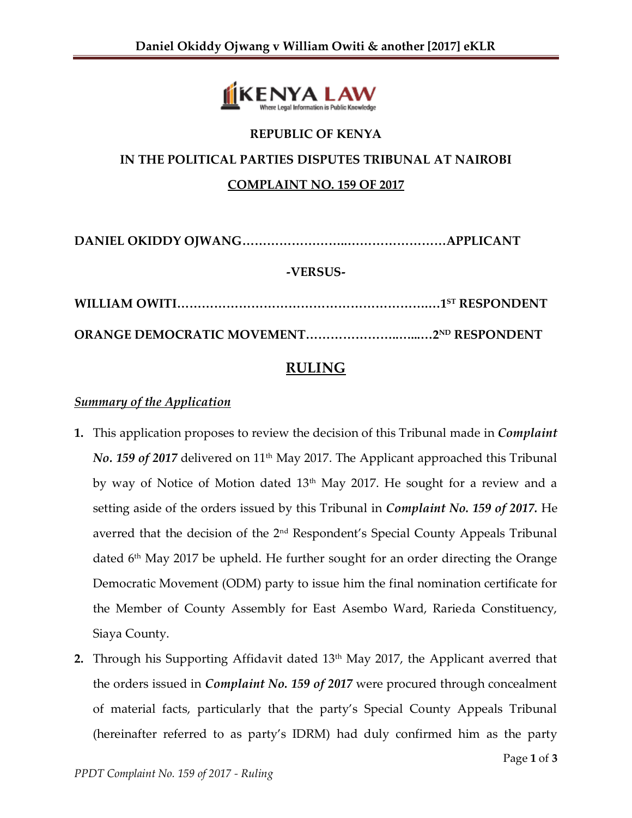

# **REPUBLIC OF KENYA IN THE POLITICAL PARTIES DISPUTES TRIBUNAL AT NAIROBI COMPLAINT NO. 159 OF 2017**

**DANIEL OKIDDY OJWANG……………………..……………………APPLICANT**

#### **-VERSUS-**

# **RULING**

# *Summary of the Application*

- **1.** This application proposes to review the decision of this Tribunal made in *Complaint No.* 159 of 2017 delivered on 11<sup>th</sup> May 2017. The Applicant approached this Tribunal by way of Notice of Motion dated 13<sup>th</sup> May 2017. He sought for a review and a setting aside of the orders issued by this Tribunal in *Complaint No. 159 of 2017.* He averred that the decision of the 2<sup>nd</sup> Respondent's Special County Appeals Tribunal dated 6<sup>th</sup> May 2017 be upheld. He further sought for an order directing the Orange Democratic Movement (ODM) party to issue him the final nomination certificate for the Member of County Assembly for East Asembo Ward, Rarieda Constituency, Siaya County.
- **2.** Through his Supporting Affidavit dated 13<sup>th</sup> May 2017, the Applicant averred that the orders issued in *Complaint No. 159 of 2017* were procured through concealment of material facts, particularly that the party's Special County Appeals Tribunal (hereinafter referred to as party's IDRM) had duly confirmed him as the party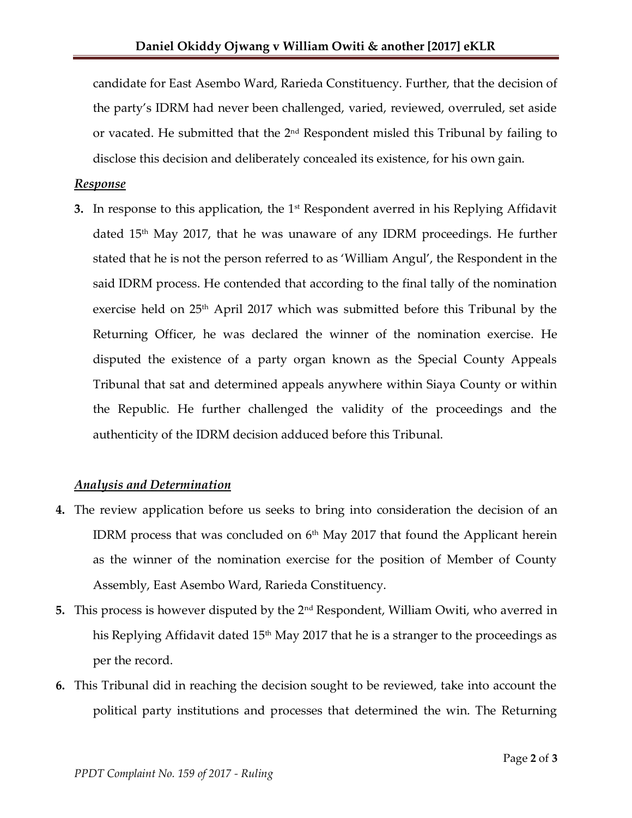candidate for East Asembo Ward, Rarieda Constituency. Further, that the decision of the party's IDRM had never been challenged, varied, reviewed, overruled, set aside or vacated. He submitted that the 2<sup>nd</sup> Respondent misled this Tribunal by failing to disclose this decision and deliberately concealed its existence, for his own gain.

#### *Response*

**3.** In response to this application, the 1<sup>st</sup> Respondent averred in his Replying Affidavit dated  $15<sup>th</sup>$  May 2017, that he was unaware of any IDRM proceedings. He further stated that he is not the person referred to as 'William Angul', the Respondent in the said IDRM process. He contended that according to the final tally of the nomination exercise held on 25<sup>th</sup> April 2017 which was submitted before this Tribunal by the Returning Officer, he was declared the winner of the nomination exercise. He disputed the existence of a party organ known as the Special County Appeals Tribunal that sat and determined appeals anywhere within Siaya County or within the Republic. He further challenged the validity of the proceedings and the authenticity of the IDRM decision adduced before this Tribunal.

## *Analysis and Determination*

- **4.** The review application before us seeks to bring into consideration the decision of an IDRM process that was concluded on  $6^{\text{th}}$  May 2017 that found the Applicant herein as the winner of the nomination exercise for the position of Member of County Assembly, East Asembo Ward, Rarieda Constituency.
- **5.** This process is however disputed by the 2nd Respondent, William Owiti, who averred in his Replying Affidavit dated  $15<sup>th</sup>$  May 2017 that he is a stranger to the proceedings as per the record.
- **6.** This Tribunal did in reaching the decision sought to be reviewed, take into account the political party institutions and processes that determined the win. The Returning